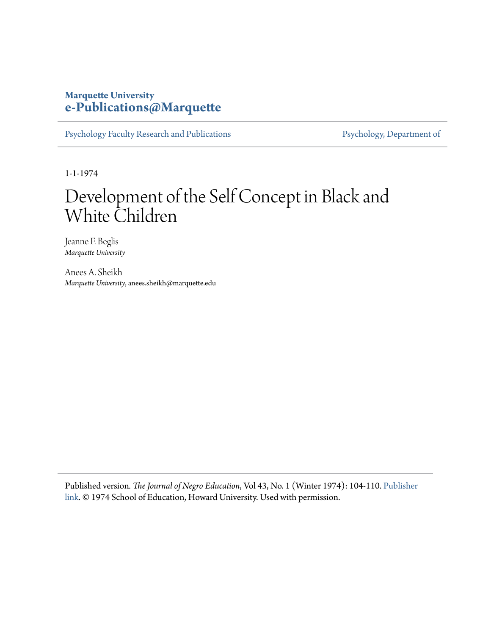## **Marquette University [e-Publications@Marquette](https://epublications.marquette.edu)**

[Psychology Faculty Research and Publications](https://epublications.marquette.edu/psych_fac) [Psychology, Department of](https://epublications.marquette.edu/psychology)

1-1-1974

# Development of the Self Concept in Black and White Children

Jeanne F. Beglis *Marquette University*

Anees A. Sheikh *Marquette University*, anees.sheikh@marquette.edu

Published version*. The Journal of Negro Education*, Vol 43, No. 1 (Winter 1974): 104-110. [Publisher](http://www.journalnegroed.org/1974winter.html) [link](http://www.journalnegroed.org/1974winter.html). © 1974 School of Education, Howard University. Used with permission.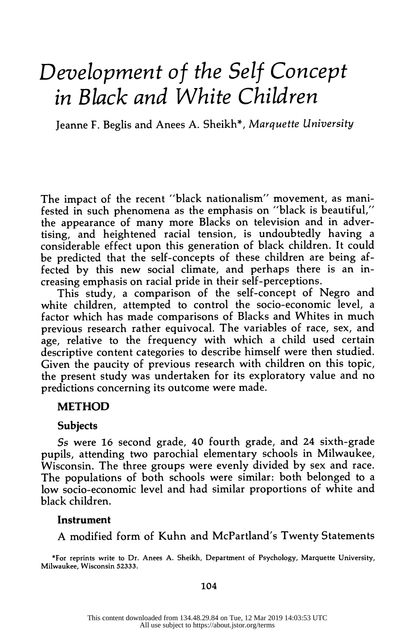# Development of the Self Concept in Black and White Children

Jeanne F. Beglis and Anees A. Sheikh\*, Marquette University

 The impact of the recent "black nationalism" movement, as mani fested in such phenomena as the emphasis on "black is beautiful," the appearance of many more Blacks on television and in adver tising, and heightened racial tension, is undoubtedly having a considerable effect upon this generation of black children. It could be predicted that the self-concepts of these children are being af fected by this new social climate, and perhaps there is an in creasing emphasis on racial pride in their self-perceptions.

 This study, a comparison of the self-concept of Negro and white children, attempted to control the socio-economic level, a factor which has made comparisons of Blacks and Whites in much previous research rather equivocal. The variables of race, sex, and age, relative to the frequency with which a child used certain descriptive content categories to describe himself were then studied. Given the paucity of previous research with children on this topic, the present study was undertaken for its exploratory value and no predictions concerning its outcome were made.

#### METHOD

#### Subjects

 Ss were 16 second grade, 40 fourth grade, and 24 sixth-grade pupils, attending two parochial elementary schools in Milwaukee, Wisconsin. The three groups were evenly divided by sex and race. The populations of both schools were similar: both belonged to a low socio-economic level and had similar proportions of white and black children.

#### Instrument

A modified form of Kuhn and McPartland's Twenty Statements

 \*For reprints write to Dr. Anees A. Sheikh, Department of Psychology, Marquette University, Milwaukee, Wisconsin 52333.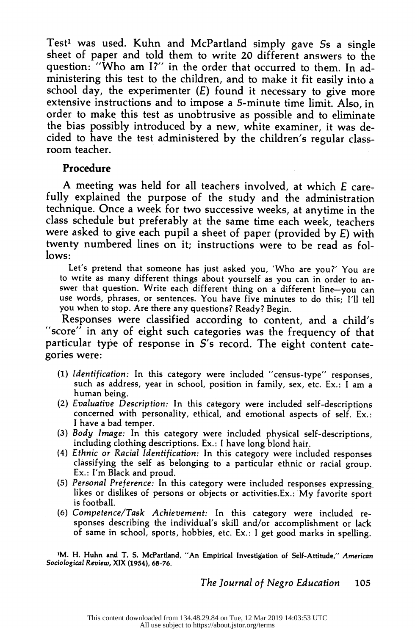Test<sup>1</sup> was used. Kuhn and McPartland simply gave Ss a single sheet of paper and told them to write 20 different answers to the question: "Who am I?" in the order that occurred to them. In ad ministering this test to the children, and to make it fit easily into a school day, the experimenter  $(E)$  found it necessary to give more extensive instructions and to impose a 5-minute time limit. Also, in order to make this test as unobtrusive as possible and to eliminate the bias possibly introduced by a new, white examiner, it was de cided to have the test administered by the children's regular class room teacher.

#### Procedure

 A meeting was held for all teachers involved, at which E care fully explained the purpose of the study and the administration technique. Once a week for two successive weeks, at anytime in the class schedule but preferably at the same time each week, teachers were asked to give each pupil a sheet of paper (provided by E) with twenty numbered lines on it; instructions were to be read as fol lows:

 Let's pretend that someone has just asked you, 'Who are you?' You are to write as many different things about yourself as you can in order to an swer that question. Write each different thing on a different line-you can use words, phrases, or sentences. You have five minutes to do this; I'll tell you when to stop. Are there any questions? Ready? Begin.

 Responses were classified according to content, and a child's "score" in any of eight such categories was the frequency of that particular type of response in S's record. The eight content cate gories were:

- (1) Identification: In this category were included "census-type" responses, such as address, year in school, position in family, sex, etc. Ex.: I am a human being.
- (2) Evaluative Description: In this category were included self-descriptions concerned with personality, ethical, and emotional aspects of self. Ex.: I have a bad temper.
- (3) Body Image: In this category were included physical self-descriptions, including clothing descriptions. Ex.: I have long blond hair.
- (4) Ethnic or Racial Identification: In this category were included responses classifying the self as belonging to a particular ethnic or racial group. Ex.: I'm Black and proud.
- (5) Personal Preference: In this category were included responses expressing. likes or dislikes of persons or objects or activities.Ex.: My favorite sport is football.
- (6) Competence/Task Achievement: In this category were included re sponses describing the individual's skill and/or accomplishment or lack of same in school, sports, hobbies, etc. Ex.: I get good marks in spelling.

 'M. H. Huhn and T. S. McPartland, "An Empirical Investigation of Self-Attitude," American Sociological Review, XIX (1954), 68-76.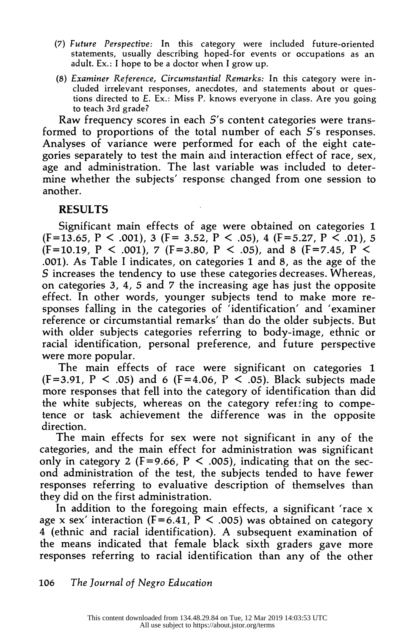- (7) Future Perspective: In this category were included future-oriented statements, usually describing hoped-for events or occupations as an adult. Ex.: I hope to be a doctor when I grow up.
- (8) Examiner Reference, Circumstantial Remarks: In this category were in cluded irrelevant responses, anecdotes, and statements about or ques tions directed to E. Ex.: Miss P. knows everyone in class. Are you going to teach 3rd grade?

Raw frequency scores in each  $S$ 's content categories were trans formed to proportions of the total number of each S's responses. Analyses of variance were performed for each of the eight cate gories separately to test the main and interaction effect of race, sex, age and administration. The last variable was included to deter mine whether the subjects' response changed from one session to another.

### RESULTS

 Significant main effects of age were obtained on categories 1  $(F=13.65, P \le .001)$ , 3  $(F=3.52, P \le .05)$ , 4  $(F=5.27, P \le .01)$ , 5  $(F=10.19, P \le .001)$ ,  $7(F=3.80, P \le .05)$ , and 8  $(F=7.45, P \le .05)$  .001). As Table I indicates, on categories 1 and 8, as the age of the S increases the tendency to use these categories decreases. Whereas, on categories 3, 4, 5 and 7 the increasing age has just the opposite effect. In other words, younger subjects tend to make more re sponses falling in the categories of 'identification' and 'examiner reference or circumstantial remarks' than do the older subjects. But with older subjects categories referring to body-image, ethnic or racial identification, personal preference, and future perspective were more popular.

 The main effects of race were significant on categories 1  $(F=3.91, P \le .05)$  and 6  $(F=4.06, P \le .05)$ . Black subjects made more responses that fell into the category of identification than did the white subjects, whereas on the category referiing to compe tence or task achievement the difference was in the opposite direction.

 The main effects for sex were not significant in any of the categories, and the main effect for administration was significant only in category 2 (F=9.66, P < .005), indicating that on the sec ond administration of the test, the subjects tended to have fewer responses referring to evaluative description of themselves than they did on the first administration.

 In addition to the foregoing main effects, a significant 'race x age x sex' interaction ( $F = 6.41$ ,  $P < .005$ ) was obtained on category 4 (ethnic and racial identification). A subsequent examination of the means indicated that female black sixth graders gave more responses referring to racial identification than any of the other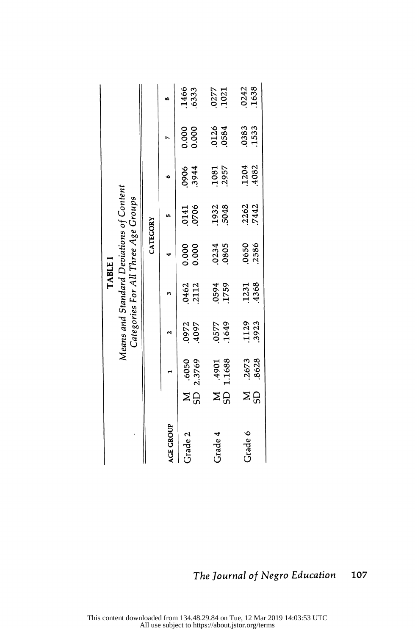|           |         |                 | Means and Standard Deviations of Content |                | <b>TABLE I</b> | Categories For All Three Age Groups |                |                |                |
|-----------|---------|-----------------|------------------------------------------|----------------|----------------|-------------------------------------|----------------|----------------|----------------|
|           |         |                 |                                          |                | CATEGORY       |                                     |                |                |                |
| AGE GROUP |         | $\blacksquare$  | N                                        | <b>M</b>       | 4              | in,                                 | $\bullet$      | Z              | s,             |
| Grade 2   | GS<br>Σ | 2.3769<br>.6050 | .0972<br>.4097                           | .0462<br>.2112 | 0.000<br>0.000 | .0706<br>.0141                      | .3944<br>0906  | 0.000<br>0.000 | .1466<br>.6333 |
| Grade 4   | GS<br>Σ | 1.1688<br>1067. | .1649<br>.0577                           | .1759<br>.0594 | .0805<br>.0234 | 5048<br>.1932                       | .2957<br>.1081 | .0126<br>.0584 | .0277<br>.1021 |
| Grade 6   | Σ<br>GD | .8628<br>.2673  | .1129<br>.3923                           | .4368<br>.1231 | .2586<br>.0650 | .2262<br>.7442                      | .1204<br>.4082 | .0383<br>.1533 | .1638<br>.0242 |
|           |         |                 |                                          |                |                |                                     |                |                |                |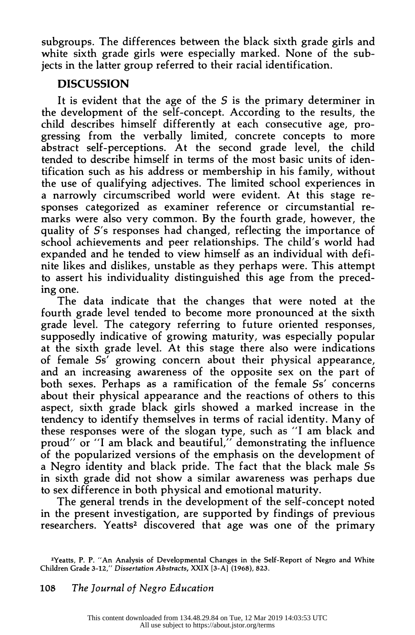subgroups. The differences between the black sixth grade girls and white sixth grade girls were especially marked. None of the sub jects in the latter group referred to their racial identification.

### **DISCUSSION**

It is evident that the age of the  $S$  is the primary determiner in the development of the self-concept. According to the results, the child describes himself differently at each consecutive age, pro gressing from the verbally limited, concrete concepts to more abstract self-perceptions. At the second grade level, the child tended to describe himself in terms of the most basic units of iden tification such as his address or membership in his family, without the use of qualifying adjectives. The limited school experiences in a narrowly circumscribed world were evident. At this stage re sponses categorized as examiner reference or circumstantial re marks were also very common. By the fourth grade, however, the quality of S's responses had changed, reflecting the importance of school achievements and peer relationships. The child's world had expanded and he tended to view himself as an individual with defi nite likes and dislikes, unstable as they perhaps were. This attempt to assert his individuality distinguished this age from the preced ing one.

 The data indicate that the changes that were noted at the fourth grade level tended to become more pronounced at the sixth grade level. The category referring to future oriented responses, supposedly indicative of growing maturity, was especially popular at the sixth grade level. At this stage there also were indications of female Ss' growing concern about their physical appearance, and an increasing awareness of the opposite sex on the part of both sexes. Perhaps as a ramification of the female Ss' concerns about their physical appearance and the reactions of others to this aspect, sixth grade black girls showed a marked increase in the tendency to identify themselves in terms of racial identity. Many of these responses were of the slogan type, such as "I am black and proud" or "I am black and beautiful," demonstrating the influence of the popularized versions of the emphasis on the development of a Negro identity and black pride. The fact that the black male Ss in sixth grade did not show a similar awareness was perhaps due to sex difference in both physical and emotional maturity.

 The general trends in the development of the self-concept noted in the present investigation, are supported by findings of previous researchers. Yeatts<sup>2</sup> discovered that age was one of the primary

 <sup>2</sup>Yeatts, P. P. "An Analysis of Developmental Changes in the Self-Report of Negro and White Children Grade 3-12," Dissertation Abstracts, XXIX [3-A] (1968), 823.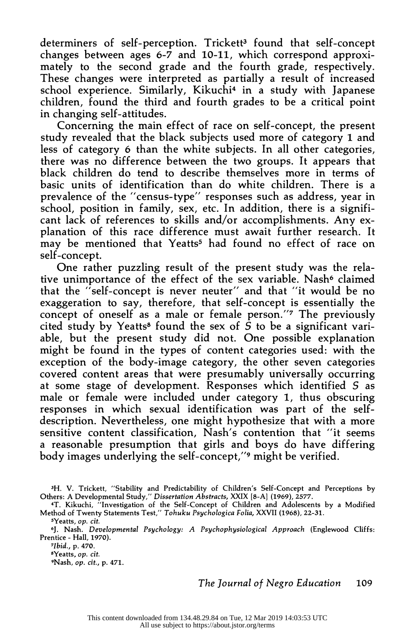determiners of self-perception. Trickett<sup>3</sup> found that self-concept changes between ages 6-7 and 10-11, which correspond approxi mately to the second grade and the fourth grade, respectively. These changes were interpreted as partially a result of increased school experience. Similarly, Kikuchi<sup>4</sup> in a study with Japanese children, found the third and fourth grades to be a critical point in changing self-attitudes.

 Concerning the main effect of race on self-concept, the present study revealed that the black subjects used more of category 1 and less of category 6 than the white subjects. In all other categories, there was no difference between the two groups. It appears that black children do tend to describe themselves more in terms of basic units of identification than do white children. There is a prevalence of the "census-type" responses such as address, year in school, position in family, sex, etc. In addition, there is a signifi cant lack of references to skills and/or accomplishments. Any ex planation of this race difference must await further research. It may be mentioned that Yeatts<sup>5</sup> had found no effect of race on self-concept.

 One rather puzzling result of the present study was the rela tive unimportance of the effect of the sex variable. Nash $6$  claimed that the "self-concept is never neuter" and that "it would be no exaggeration to say, therefore, that self-concept is essentially the concept of oneself as a male or female person."7 The previously cited study by Yeatts<sup>8</sup> found the sex of  $\hat{S}$  to be a significant vari able, but the present study did not. One possible explanation might be found in the types of content categories used: with the exception of the body-image category, the other seven categories covered content areas that were presumably universally occurring at some stage of development. Responses which identified S as male or female were included under category 1, thus obscuring responses in which sexual identification was part of the self description. Nevertheless, one might hypothesize that with a more sensitive content classification, Nash's contention that "it seems a reasonable presumption that girls and boys do have differing body images underlying the self-concept,"9 might be verified.

 7Ibid., p. 470. 8Yeatts, op. cit. 9Nash, op. cit., p. 471.

 <sup>3</sup>H. V. Trickett, "Stability and Predictability of Children's Self-Concept and Perceptions by Others: A Developmental Study," Dissertation Abstracts, XXIX [8-A] (1969), 2577.

 <sup>4</sup>T. Kikuchi, "Investigation of the Self-Concept of Children and Adolescents by a Modified Method of Twenty Statements Test," Tohuku Psychologica Folia, XXVII (1968), 22-31.

 <sup>5</sup>Yeatts, op. cit.

 <sup>6</sup>J. Nash. Developmental Psychology: A Psychophysiological Approach (Englewood Cliffs: Prentice - Hall, 1970).